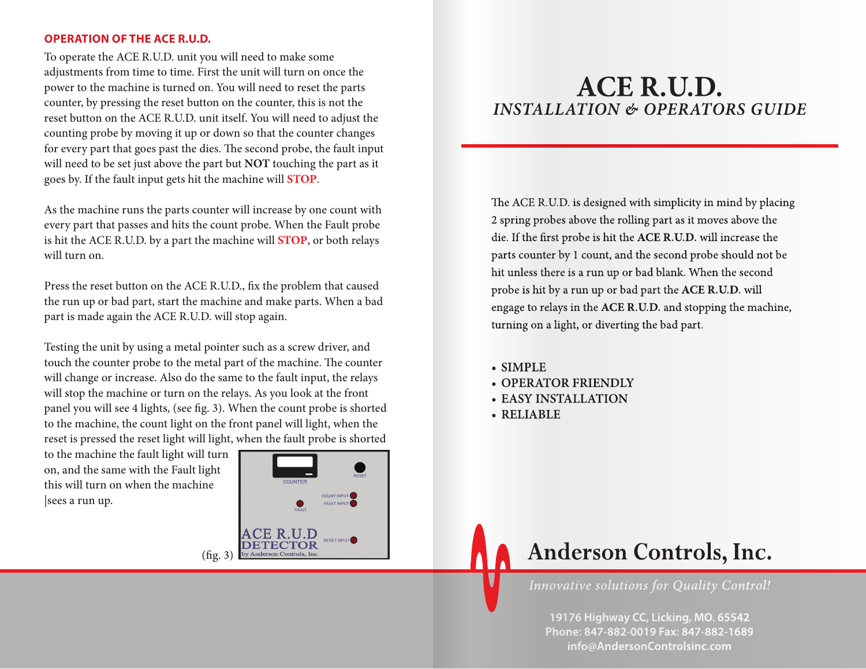# **OPERATION OF THE ACE R.U.D.**

To operate the ACE R.U.D. unit you will need to make some adjustments from time to time. First the unit will turn on once the power to the machine is turned on. You will need to reset the parts counter, by pressing the reset button on the counter, this is not the reset button on the ACE R.U.D. unit itself. You will need to adjust the counting probe by moving it up or down so that the counter changes for every part that goes past the dies. The second probe, the fault input will need to be set just above the part but **NOT** touching the part as it goes by. If the fault input gets hit the machine will **STOP**.

As the machine runs the parts counter will increase by one count with every part that passes and hits the count probe. When the Fault probe is hit the ACE R.U.D. by a part the machine will **STOP**, or both relays will turn on.

Press the reset button on the ACE R.U.D., fix the problem that caused the run up or bad part, start the machine and make parts. When a bad part is made again the ACE R.U.D. will stop again.

Testing the unit by using a metal pointer such as a screw driver, and touch the counter probe to the metal part of the machine. The counter will change or increase. Also do the same to the fault input, the relays will stop the machine or turn on the relays. As you look at the front panel you will see 4 lights, (see fig. 3). When the count probe is shorted to the machine, the count light on the front panel will light, when the reset is pressed the reset light will light, when the fault probe is shorted

to the machine the fault light will turn on, and the same with the Fault light this will turn on when the machine |sees a run up.



# **ACE R.U.D.** *INSTALLATION & OPERATORS GUIDE*

The ACE R.U.D. is designed with simplicity in mind by placing 2 spring probes above the rolling part as it moves above the die. If the first probe is hit the ACE R.U.D. will increase the parts counter by 1 count, and the second probe should not be hit unless there is a run up or bad blank. When the second probe is hit by a run up or bad part the **ACE R.U.D.** will probe is engage to relays in the **ACE R.U.D.** and stopping the machine, turning on a light, or diverting the bad part.

- **SIMPLE**
- **OPERATOR FRIENDLY**
- **EASY INSTALLATION**
- **RELIABLE**



**19176 Highway CC, Licking, MO. 65542 Phone: 847-882-0019 Fax: 847-882-1689 info@AndersonControlsinc.com**